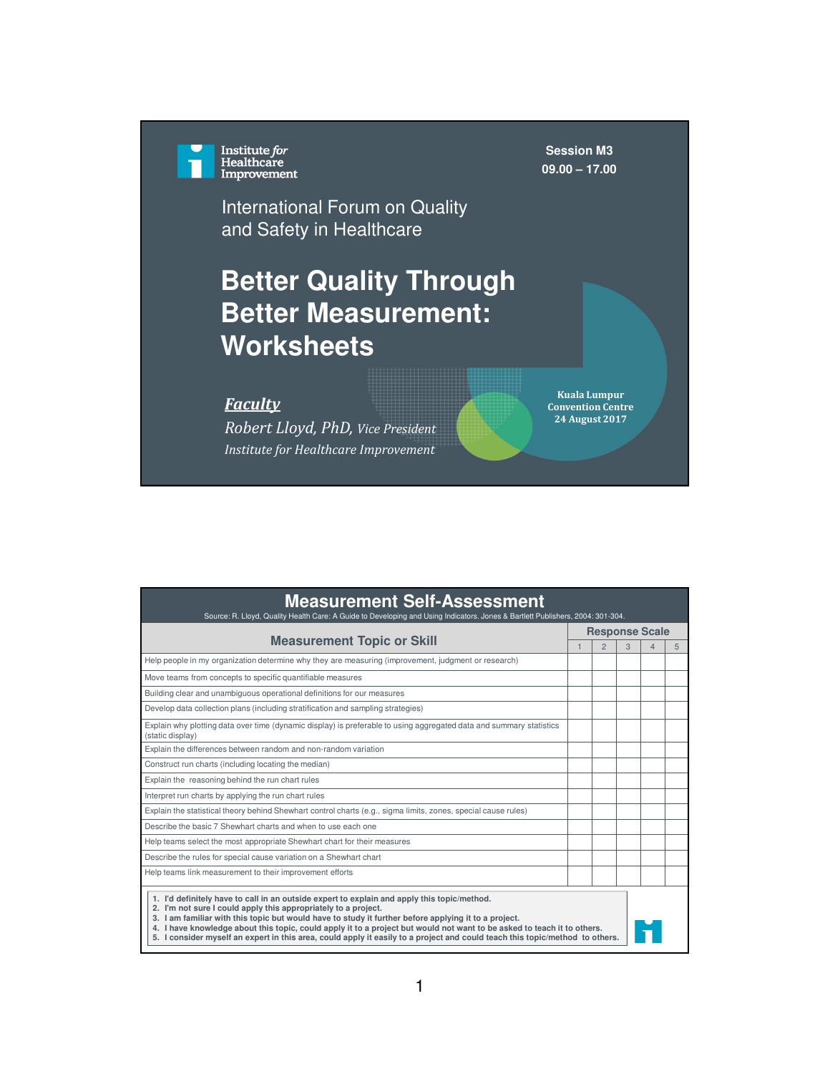Institute *for*<br>Healthcare<br>Improvement

**Session M3 09.00 – 17.00**

International Forum on Quality and Safety in Healthcare

## **Better Quality Through Better Measurement: Worksheets**

## *Faculty*

*Robert Lloyd, PhD, Vice President Institute for Healthcare Improvement*

**Kuala Lumpur Convention Centre 24 August 2017**

| <b>Measurement Self-Assessment</b><br>Source: R. Lloyd, Quality Health Care: A Guide to Developing and Using Indicators. Jones & Bartlett Publishers, 2004: 301-304.                                                                                                                                                                                                                                                                                                                                                             |                |                       |   |   |   |
|----------------------------------------------------------------------------------------------------------------------------------------------------------------------------------------------------------------------------------------------------------------------------------------------------------------------------------------------------------------------------------------------------------------------------------------------------------------------------------------------------------------------------------|----------------|-----------------------|---|---|---|
|                                                                                                                                                                                                                                                                                                                                                                                                                                                                                                                                  |                | <b>Response Scale</b> |   |   |   |
| <b>Measurement Topic or Skill</b>                                                                                                                                                                                                                                                                                                                                                                                                                                                                                                | $\overline{1}$ | $\mathfrak{D}$        | 3 | 4 | 5 |
| Help people in my organization determine why they are measuring (improvement, judgment or research)                                                                                                                                                                                                                                                                                                                                                                                                                              |                |                       |   |   |   |
| Move teams from concepts to specific quantifiable measures                                                                                                                                                                                                                                                                                                                                                                                                                                                                       |                |                       |   |   |   |
| Building clear and unambiguous operational definitions for our measures                                                                                                                                                                                                                                                                                                                                                                                                                                                          |                |                       |   |   |   |
| Develop data collection plans (including stratification and sampling strategies)                                                                                                                                                                                                                                                                                                                                                                                                                                                 |                |                       |   |   |   |
| Explain why plotting data over time (dynamic display) is preferable to using aggregated data and summary statistics<br>(static display)                                                                                                                                                                                                                                                                                                                                                                                          |                |                       |   |   |   |
| Explain the differences between random and non-random variation                                                                                                                                                                                                                                                                                                                                                                                                                                                                  |                |                       |   |   |   |
| Construct run charts (including locating the median)                                                                                                                                                                                                                                                                                                                                                                                                                                                                             |                |                       |   |   |   |
| Explain the reasoning behind the run chart rules                                                                                                                                                                                                                                                                                                                                                                                                                                                                                 |                |                       |   |   |   |
| Interpret run charts by applying the run chart rules                                                                                                                                                                                                                                                                                                                                                                                                                                                                             |                |                       |   |   |   |
| Explain the statistical theory behind Shewhart control charts (e.g., sigma limits, zones, special cause rules)                                                                                                                                                                                                                                                                                                                                                                                                                   |                |                       |   |   |   |
| Describe the basic 7 Shewhart charts and when to use each one                                                                                                                                                                                                                                                                                                                                                                                                                                                                    |                |                       |   |   |   |
| Help teams select the most appropriate Shewhart chart for their measures                                                                                                                                                                                                                                                                                                                                                                                                                                                         |                |                       |   |   |   |
| Describe the rules for special cause variation on a Shewhart chart                                                                                                                                                                                                                                                                                                                                                                                                                                                               |                |                       |   |   |   |
| Help teams link measurement to their improvement efforts                                                                                                                                                                                                                                                                                                                                                                                                                                                                         |                |                       |   |   |   |
| 1. I'd definitely have to call in an outside expert to explain and apply this topic/method.<br>2. I'm not sure I could apply this appropriately to a project.<br>3. I am familiar with this topic but would have to study it further before applying it to a project.<br>4. I have knowledge about this topic, could apply it to a project but would not want to be asked to teach it to others.<br>5. I consider myself an expert in this area, could apply it easily to a project and could teach this topic/method to others. |                |                       |   |   |   |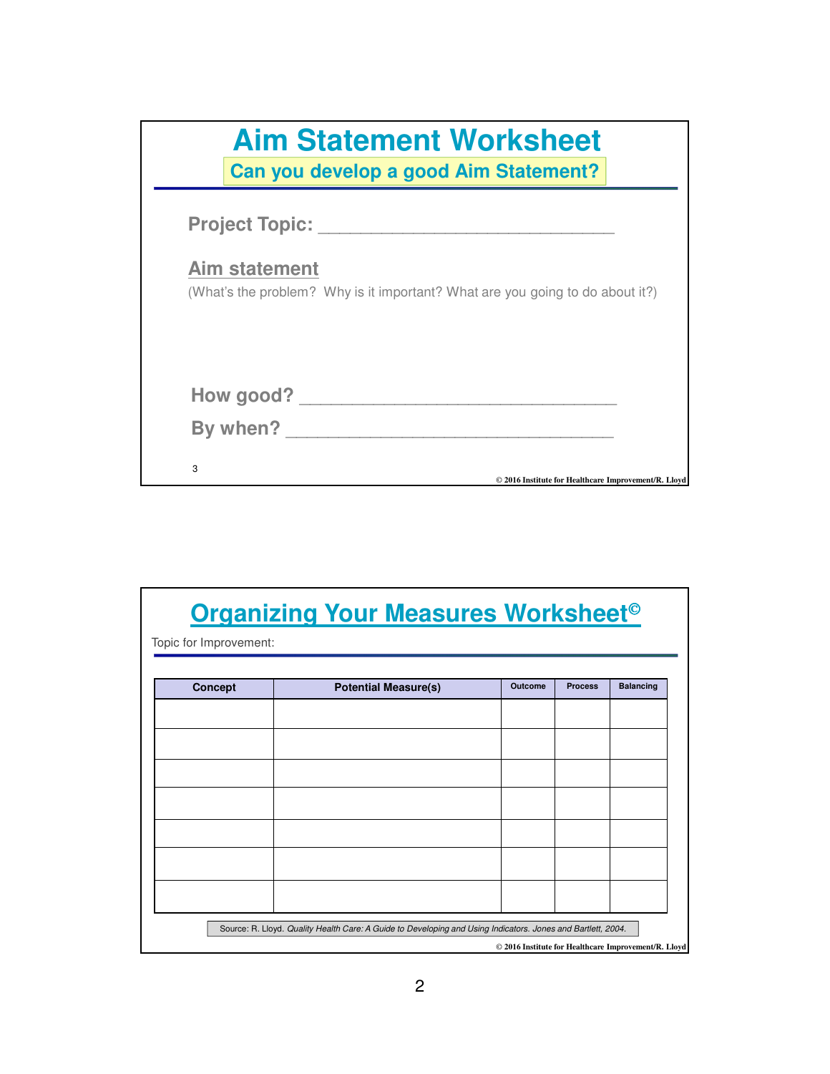|                       | <b>Aim Statement Worksheet</b><br>Can you develop a good Aim Statement?       |
|-----------------------|-------------------------------------------------------------------------------|
| <b>Project Topic:</b> |                                                                               |
| <b>Aim statement</b>  | (What's the problem? Why is it important? What are you going to do about it?) |
|                       | How good?                                                                     |
| By when?              |                                                                               |
| 3                     | © 2016 Institute for Healthcare Improvement/R. Lloyd                          |

|                        | <b>Organizing Your Measures Worksheet<sup>®</sup></b>                                                        |                                                      |                |                  |
|------------------------|--------------------------------------------------------------------------------------------------------------|------------------------------------------------------|----------------|------------------|
| Topic for Improvement: |                                                                                                              |                                                      |                |                  |
| <b>Concept</b>         | <b>Potential Measure(s)</b>                                                                                  | <b>Outcome</b>                                       | <b>Process</b> | <b>Balancing</b> |
|                        |                                                                                                              |                                                      |                |                  |
|                        |                                                                                                              |                                                      |                |                  |
|                        |                                                                                                              |                                                      |                |                  |
|                        |                                                                                                              |                                                      |                |                  |
|                        |                                                                                                              |                                                      |                |                  |
|                        |                                                                                                              |                                                      |                |                  |
|                        |                                                                                                              |                                                      |                |                  |
|                        |                                                                                                              |                                                      |                |                  |
|                        | Source: R. Lloyd. Quality Health Care: A Guide to Developing and Using Indicators. Jones and Bartlett, 2004. | © 2016 Institute for Healthcare Improvement/R. Lloyd |                |                  |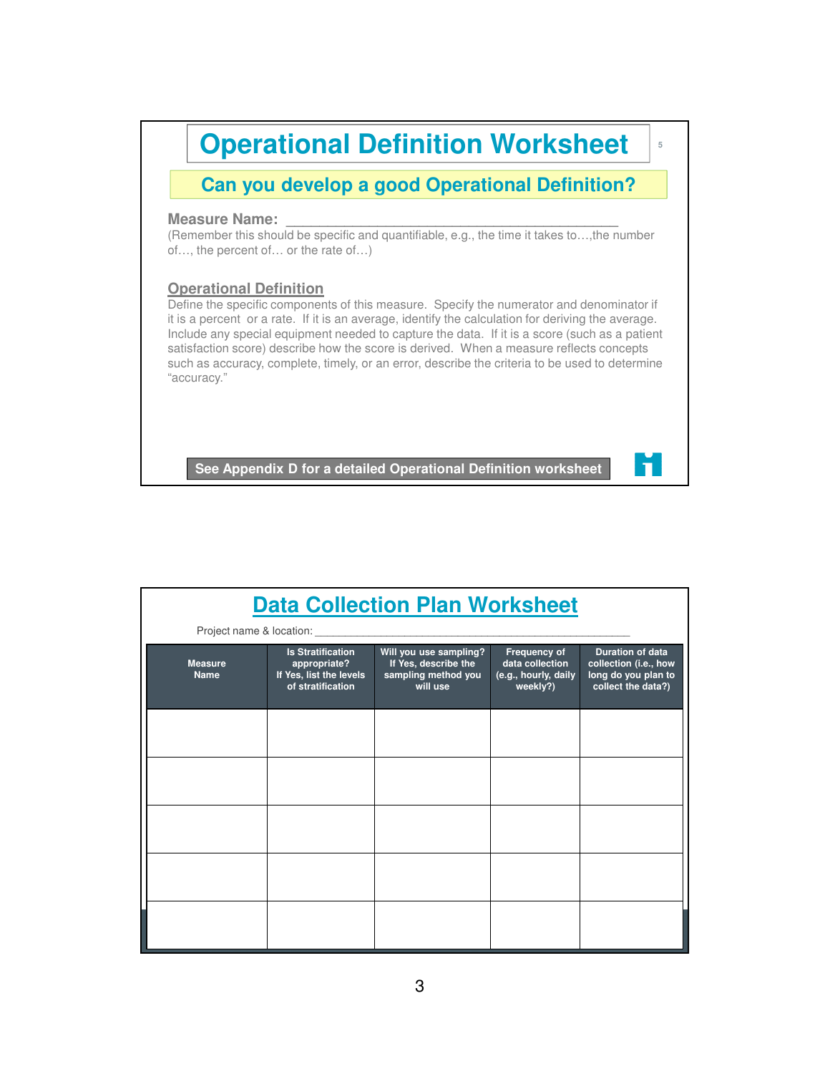

| <b>Data Collection Plan Worksheet</b> |                                                                                          |                                                                                   |                                                                     |                                                                                               |  |
|---------------------------------------|------------------------------------------------------------------------------------------|-----------------------------------------------------------------------------------|---------------------------------------------------------------------|-----------------------------------------------------------------------------------------------|--|
|                                       |                                                                                          |                                                                                   |                                                                     |                                                                                               |  |
| <b>Measure</b><br><b>Name</b>         | <b>Is Stratification</b><br>appropriate?<br>If Yes, list the levels<br>of stratification | Will you use sampling?<br>If Yes, describe the<br>sampling method you<br>will use | Frequency of<br>data collection<br>(e.g., hourly, daily<br>weekly?) | <b>Duration of data</b><br>collection (i.e., how<br>long do you plan to<br>collect the data?) |  |
|                                       |                                                                                          |                                                                                   |                                                                     |                                                                                               |  |
|                                       |                                                                                          |                                                                                   |                                                                     |                                                                                               |  |
|                                       |                                                                                          |                                                                                   |                                                                     |                                                                                               |  |
|                                       |                                                                                          |                                                                                   |                                                                     |                                                                                               |  |
|                                       |                                                                                          |                                                                                   |                                                                     |                                                                                               |  |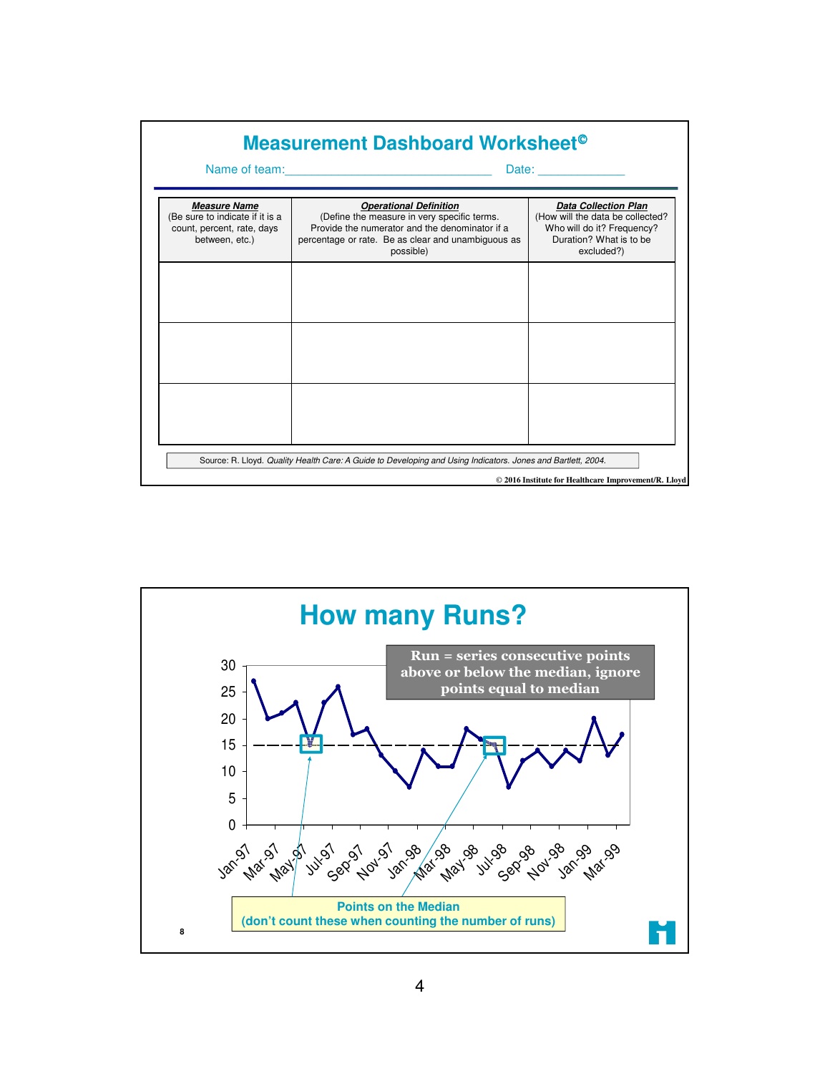| Measurement Dashboard Worksheet <sup>®</sup>                                                                                                                         |                                                                                                                                                                  |                                                                                                         |  |
|----------------------------------------------------------------------------------------------------------------------------------------------------------------------|------------------------------------------------------------------------------------------------------------------------------------------------------------------|---------------------------------------------------------------------------------------------------------|--|
| <b>Measure Name</b>                                                                                                                                                  | Name of team: <u>_______________________________</u><br><b>Operational Definition</b>                                                                            | <b>Data Collection Plan</b>                                                                             |  |
| (Be sure to indicate if it is a<br>count, percent, rate, days<br>between, etc.)                                                                                      | (Define the measure in very specific terms.<br>Provide the numerator and the denominator if a<br>percentage or rate. Be as clear and unambiguous as<br>possible) | (How will the data be collected?<br>Who will do it? Frequency?<br>Duration? What is to be<br>excluded?) |  |
|                                                                                                                                                                      |                                                                                                                                                                  |                                                                                                         |  |
|                                                                                                                                                                      |                                                                                                                                                                  |                                                                                                         |  |
|                                                                                                                                                                      |                                                                                                                                                                  |                                                                                                         |  |
|                                                                                                                                                                      |                                                                                                                                                                  |                                                                                                         |  |
| Source: R. Lloyd. Quality Health Care: A Guide to Developing and Using Indicators. Jones and Bartlett, 2004.<br>© 2016 Institute for Healthcare Improvement/R. Lloyd |                                                                                                                                                                  |                                                                                                         |  |

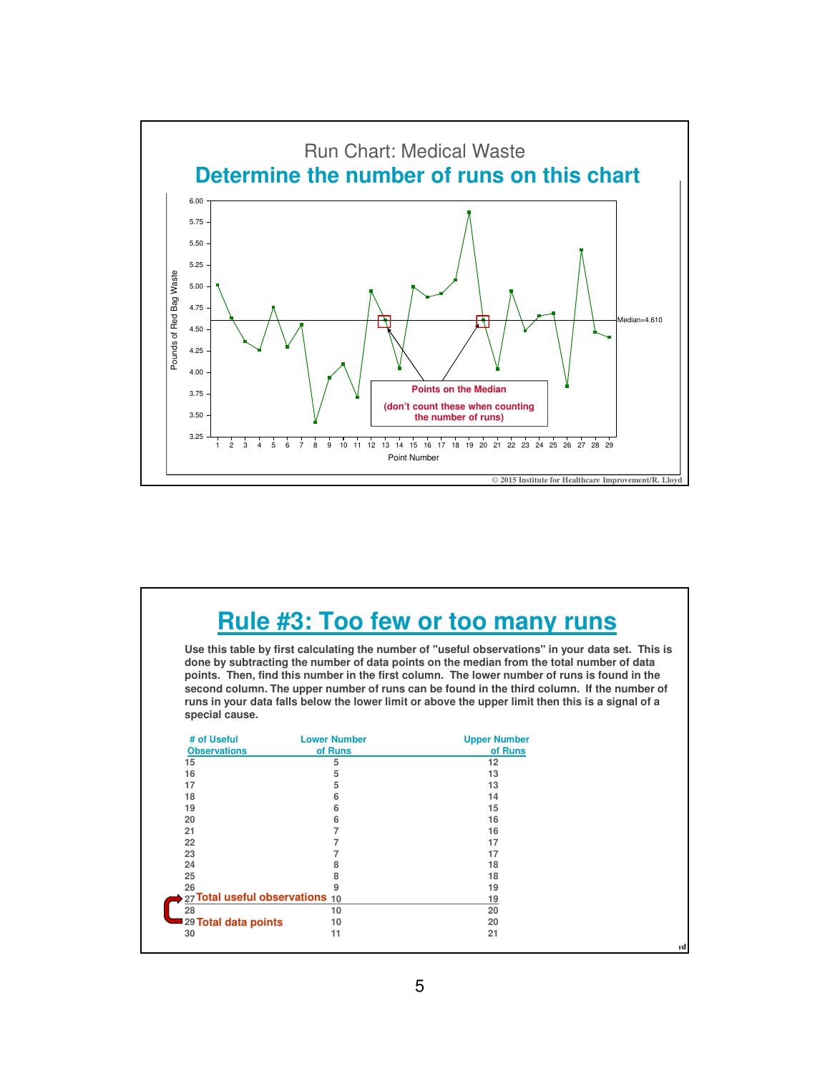

## **Rule #3: Too few or too many runs**

**Use this table by first calculating the number of "useful observations" in your data set. This is done by subtracting the number of data points on the median from the total number of data points. Then, find this number in the first column. The lower number of runs is found in the second column. The upper number of runs can be found in the third column. If the number of runs in your data falls below the lower limit or above the upper limit then this is a signal of a special cause.**

| # of Useful                     | <b>Lower Number</b> | <b>Upper Number</b> |  |
|---------------------------------|---------------------|---------------------|--|
| <b>Observations</b>             | of Runs             | of Runs             |  |
| 15                              | 5                   | 12                  |  |
| 16                              | 5                   | 13                  |  |
| 17                              | 5                   | 13                  |  |
| 18                              | 6                   | 14                  |  |
| 19                              | 6                   | 15                  |  |
| 20                              | 6                   | 16                  |  |
| 21                              |                     | 16                  |  |
| 22                              |                     | 17                  |  |
| 23                              |                     | 17                  |  |
| 24                              |                     | 18                  |  |
| 25                              |                     | 18                  |  |
| 26                              |                     | 19                  |  |
| 27 Total useful observations 10 |                     | 19                  |  |
| 28                              | 10                  | 20                  |  |
| 29 Total data points            | 10                  | 20                  |  |
| 30                              | 11                  | 21                  |  |
|                                 |                     |                     |  |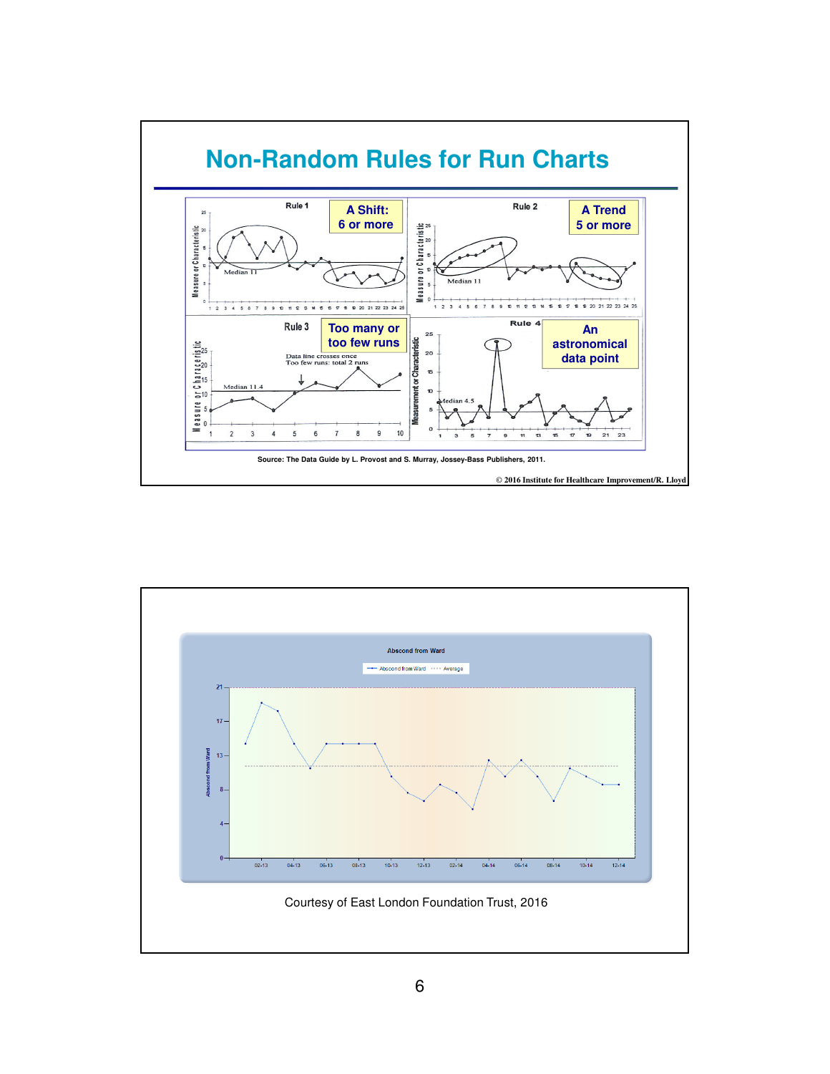

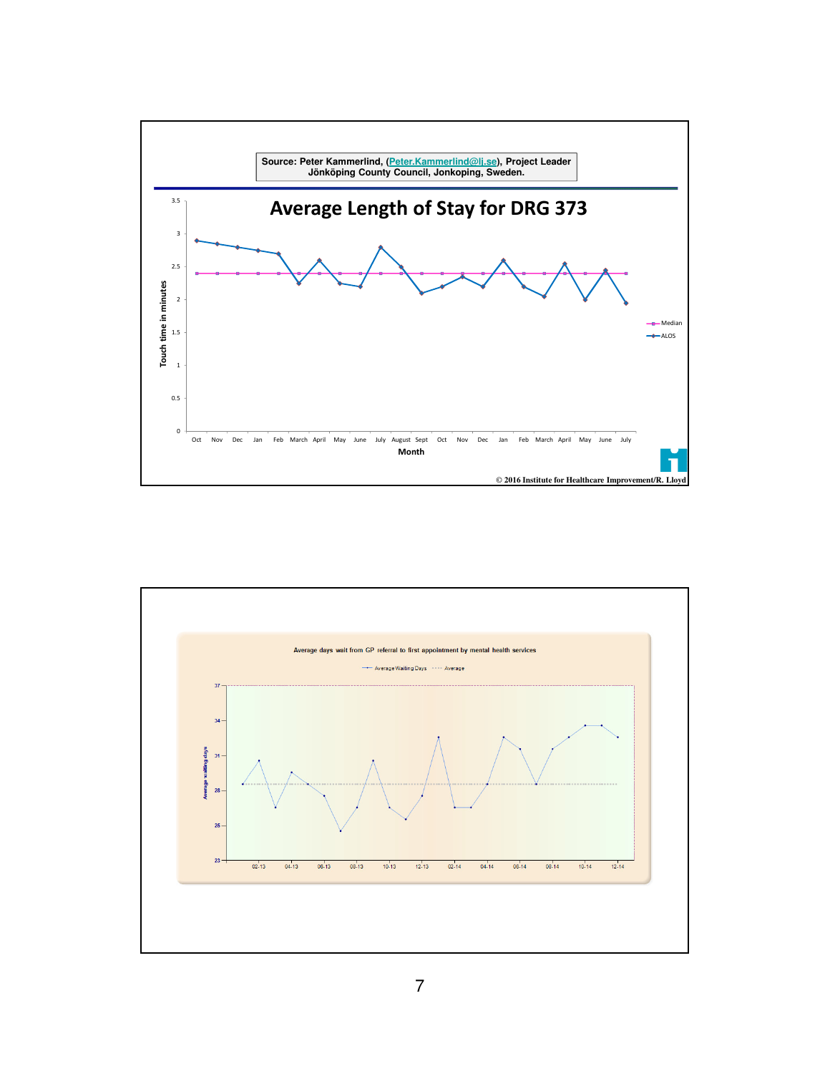

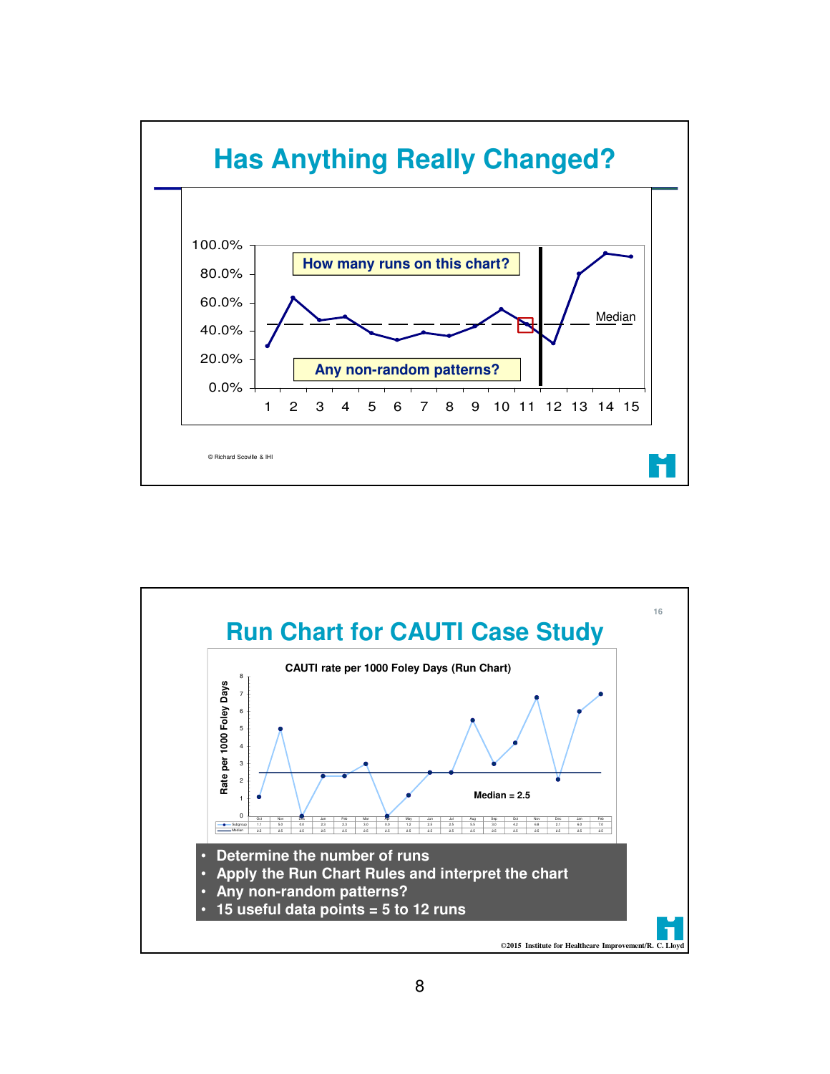

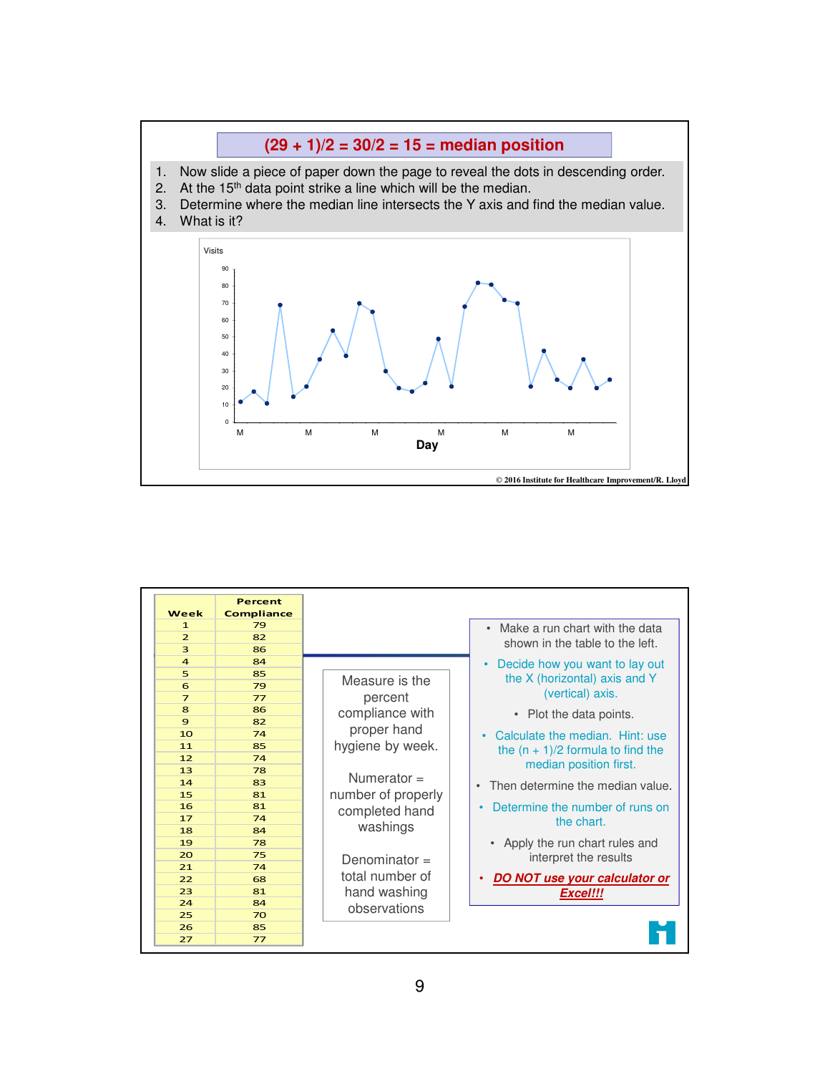

| 79<br>$\mathbf{1}$<br>Make a run chart with the data<br>$\overline{2}$<br>82<br>shown in the table to the left.<br>3<br>86<br>$\overline{a}$<br>84<br>Decide how you want to lay out<br>$\bullet$<br>5<br>85<br>the X (horizontal) axis and Y<br>Measure is the<br>6<br>79<br>(vertical) axis.<br>percent<br>$\overline{7}$<br>77<br>8<br>86<br>compliance with<br>• Plot the data points.<br>9<br>82<br>proper hand<br>10<br>74<br>$\bullet$<br>hygiene by week.<br>11<br>85<br>the $(n + 1)/2$ formula to find the<br>12<br>74<br>median position first.<br>13<br>78<br>Numerator $=$<br>14<br>83<br>$\bullet$<br>number of properly<br>81<br>15<br>Determine the number of runs on<br>16<br>81<br>completed hand<br>17<br>74<br>the chart.<br>washings<br>18<br>84<br>Apply the run chart rules and<br>19<br>78<br>20<br>75<br>interpret the results<br>Denominator $=$<br>21<br>74<br>total number of<br>DO NOT use your calculator or<br>22<br>68<br>hand washing<br>23<br>81<br>Excel!!!<br>24<br>84<br>observations<br>25<br>70<br>26<br>85 | Week | <b>Percent</b><br><b>Compliance</b> |                                  |
|----------------------------------------------------------------------------------------------------------------------------------------------------------------------------------------------------------------------------------------------------------------------------------------------------------------------------------------------------------------------------------------------------------------------------------------------------------------------------------------------------------------------------------------------------------------------------------------------------------------------------------------------------------------------------------------------------------------------------------------------------------------------------------------------------------------------------------------------------------------------------------------------------------------------------------------------------------------------------------------------------------------------------------------------------|------|-------------------------------------|----------------------------------|
|                                                                                                                                                                                                                                                                                                                                                                                                                                                                                                                                                                                                                                                                                                                                                                                                                                                                                                                                                                                                                                                    |      |                                     |                                  |
|                                                                                                                                                                                                                                                                                                                                                                                                                                                                                                                                                                                                                                                                                                                                                                                                                                                                                                                                                                                                                                                    |      |                                     |                                  |
|                                                                                                                                                                                                                                                                                                                                                                                                                                                                                                                                                                                                                                                                                                                                                                                                                                                                                                                                                                                                                                                    |      |                                     |                                  |
|                                                                                                                                                                                                                                                                                                                                                                                                                                                                                                                                                                                                                                                                                                                                                                                                                                                                                                                                                                                                                                                    |      |                                     |                                  |
|                                                                                                                                                                                                                                                                                                                                                                                                                                                                                                                                                                                                                                                                                                                                                                                                                                                                                                                                                                                                                                                    |      |                                     |                                  |
|                                                                                                                                                                                                                                                                                                                                                                                                                                                                                                                                                                                                                                                                                                                                                                                                                                                                                                                                                                                                                                                    |      |                                     |                                  |
|                                                                                                                                                                                                                                                                                                                                                                                                                                                                                                                                                                                                                                                                                                                                                                                                                                                                                                                                                                                                                                                    |      |                                     |                                  |
|                                                                                                                                                                                                                                                                                                                                                                                                                                                                                                                                                                                                                                                                                                                                                                                                                                                                                                                                                                                                                                                    |      |                                     |                                  |
|                                                                                                                                                                                                                                                                                                                                                                                                                                                                                                                                                                                                                                                                                                                                                                                                                                                                                                                                                                                                                                                    |      |                                     |                                  |
|                                                                                                                                                                                                                                                                                                                                                                                                                                                                                                                                                                                                                                                                                                                                                                                                                                                                                                                                                                                                                                                    |      |                                     | Calculate the median. Hint: use  |
|                                                                                                                                                                                                                                                                                                                                                                                                                                                                                                                                                                                                                                                                                                                                                                                                                                                                                                                                                                                                                                                    |      |                                     |                                  |
|                                                                                                                                                                                                                                                                                                                                                                                                                                                                                                                                                                                                                                                                                                                                                                                                                                                                                                                                                                                                                                                    |      |                                     |                                  |
|                                                                                                                                                                                                                                                                                                                                                                                                                                                                                                                                                                                                                                                                                                                                                                                                                                                                                                                                                                                                                                                    |      |                                     |                                  |
|                                                                                                                                                                                                                                                                                                                                                                                                                                                                                                                                                                                                                                                                                                                                                                                                                                                                                                                                                                                                                                                    |      |                                     | Then determine the median value. |
|                                                                                                                                                                                                                                                                                                                                                                                                                                                                                                                                                                                                                                                                                                                                                                                                                                                                                                                                                                                                                                                    |      |                                     |                                  |
|                                                                                                                                                                                                                                                                                                                                                                                                                                                                                                                                                                                                                                                                                                                                                                                                                                                                                                                                                                                                                                                    |      |                                     |                                  |
|                                                                                                                                                                                                                                                                                                                                                                                                                                                                                                                                                                                                                                                                                                                                                                                                                                                                                                                                                                                                                                                    |      |                                     |                                  |
|                                                                                                                                                                                                                                                                                                                                                                                                                                                                                                                                                                                                                                                                                                                                                                                                                                                                                                                                                                                                                                                    |      |                                     |                                  |
|                                                                                                                                                                                                                                                                                                                                                                                                                                                                                                                                                                                                                                                                                                                                                                                                                                                                                                                                                                                                                                                    |      |                                     |                                  |
|                                                                                                                                                                                                                                                                                                                                                                                                                                                                                                                                                                                                                                                                                                                                                                                                                                                                                                                                                                                                                                                    |      |                                     |                                  |
|                                                                                                                                                                                                                                                                                                                                                                                                                                                                                                                                                                                                                                                                                                                                                                                                                                                                                                                                                                                                                                                    |      |                                     |                                  |
|                                                                                                                                                                                                                                                                                                                                                                                                                                                                                                                                                                                                                                                                                                                                                                                                                                                                                                                                                                                                                                                    |      |                                     |                                  |
|                                                                                                                                                                                                                                                                                                                                                                                                                                                                                                                                                                                                                                                                                                                                                                                                                                                                                                                                                                                                                                                    |      |                                     |                                  |
|                                                                                                                                                                                                                                                                                                                                                                                                                                                                                                                                                                                                                                                                                                                                                                                                                                                                                                                                                                                                                                                    |      |                                     |                                  |
|                                                                                                                                                                                                                                                                                                                                                                                                                                                                                                                                                                                                                                                                                                                                                                                                                                                                                                                                                                                                                                                    |      |                                     |                                  |
| 27<br>77                                                                                                                                                                                                                                                                                                                                                                                                                                                                                                                                                                                                                                                                                                                                                                                                                                                                                                                                                                                                                                           |      |                                     |                                  |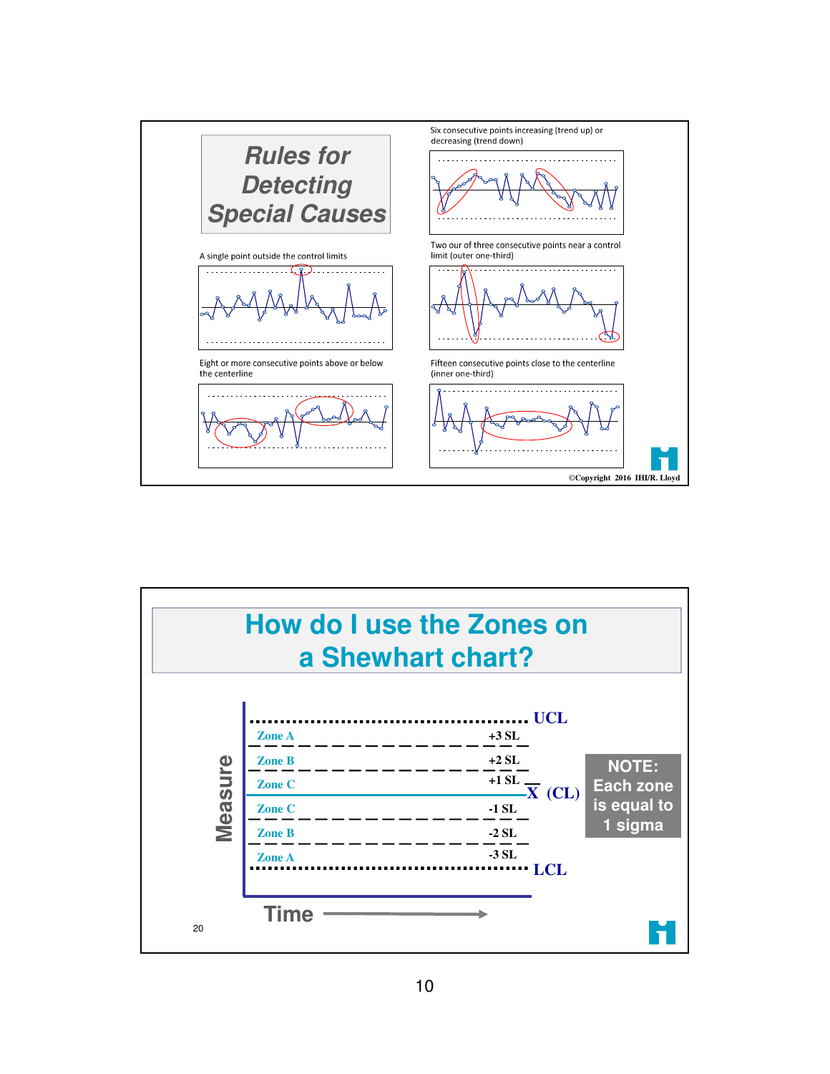

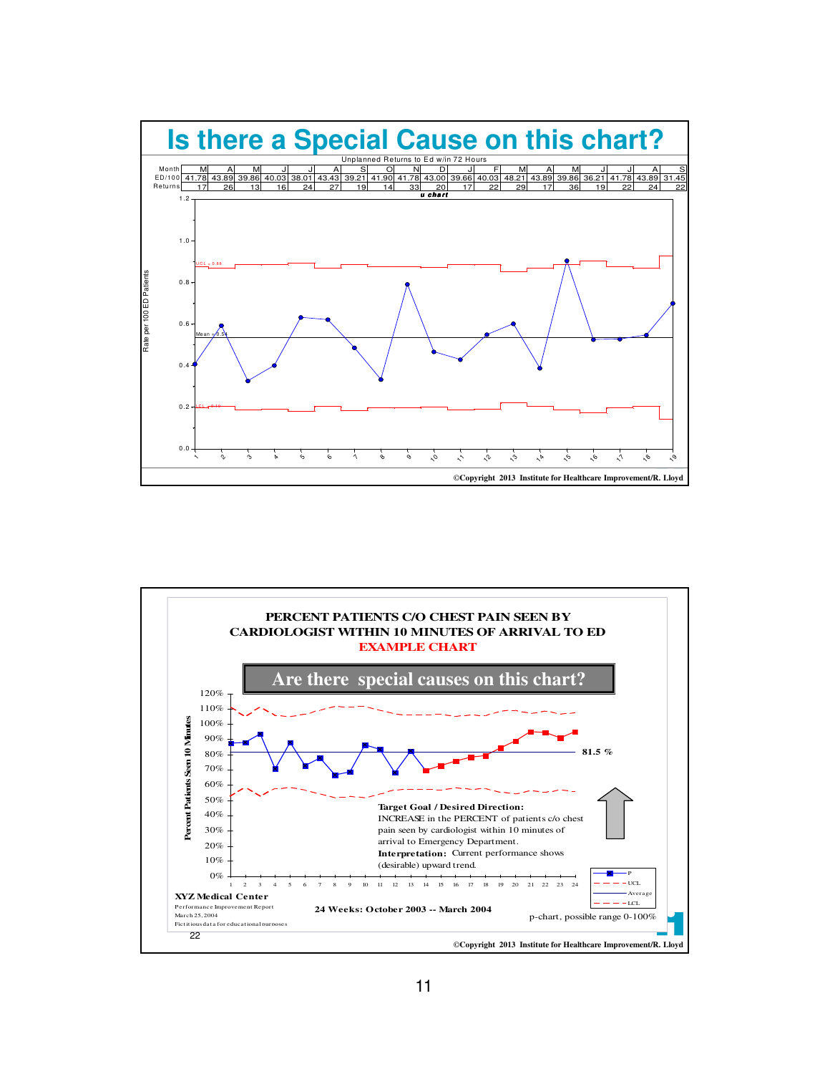

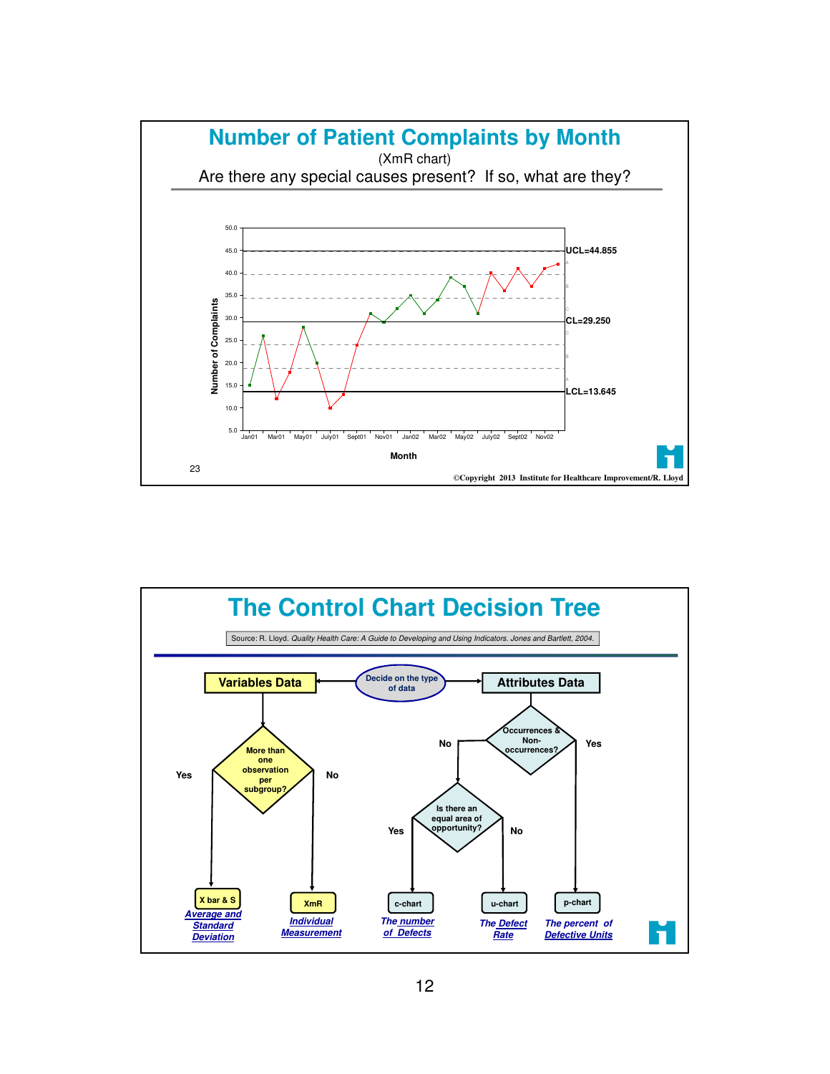

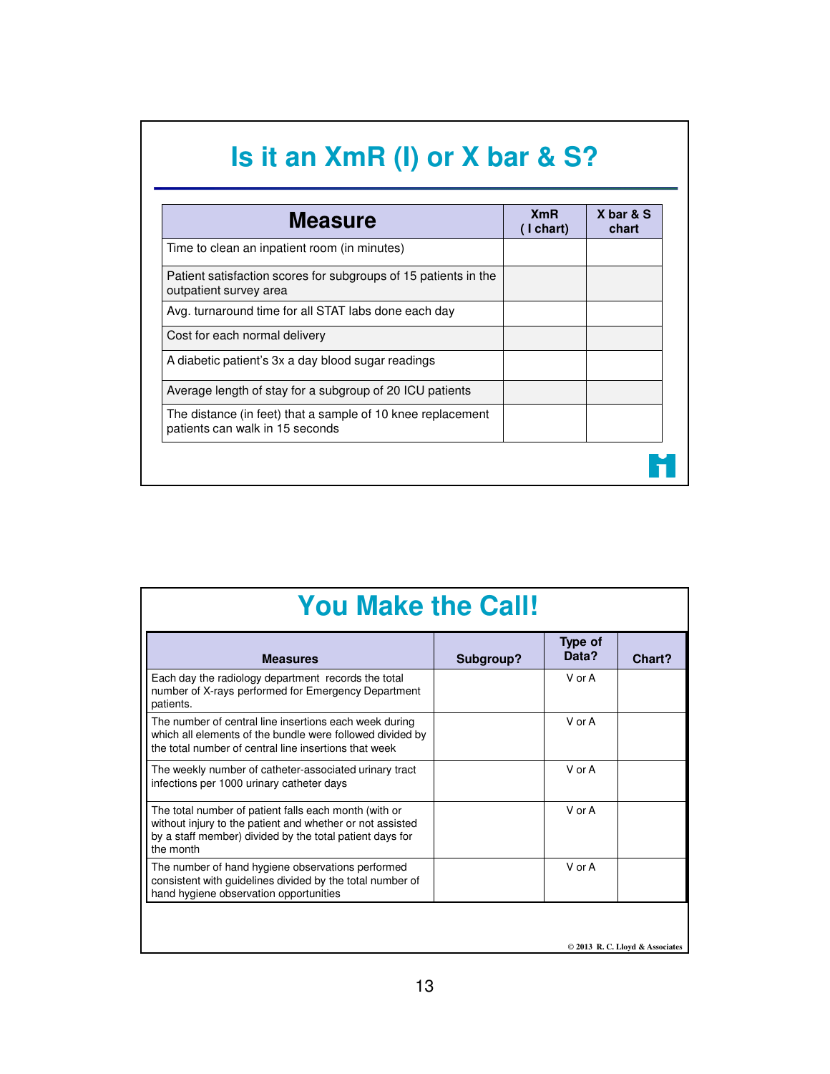| <b>Measure</b>                                                                                 | <b>XmR</b><br>$($ I chart $)$ | X bar & S<br>chart |
|------------------------------------------------------------------------------------------------|-------------------------------|--------------------|
| Time to clean an inpatient room (in minutes)                                                   |                               |                    |
| Patient satisfaction scores for subgroups of 15 patients in the<br>outpatient survey area      |                               |                    |
| Avg. turnaround time for all STAT labs done each day                                           |                               |                    |
| Cost for each normal delivery                                                                  |                               |                    |
| A diabetic patient's 3x a day blood sugar readings                                             |                               |                    |
| Average length of stay for a subgroup of 20 ICU patients                                       |                               |                    |
| The distance (in feet) that a sample of 10 knee replacement<br>patients can walk in 15 seconds |                               |                    |

| <b>You Make the Call!</b>                                                                                                                                                                   |           |                  |                                |  |  |
|---------------------------------------------------------------------------------------------------------------------------------------------------------------------------------------------|-----------|------------------|--------------------------------|--|--|
| <b>Measures</b>                                                                                                                                                                             | Subgroup? | Type of<br>Data? | Chart?                         |  |  |
| Each day the radiology department records the total<br>number of X-rays performed for Emergency Department<br>patients.                                                                     |           | V or A           |                                |  |  |
| The number of central line insertions each week during<br>which all elements of the bundle were followed divided by<br>the total number of central line insertions that week                |           | V or A           |                                |  |  |
| The weekly number of catheter-associated urinary tract<br>infections per 1000 urinary catheter days                                                                                         |           | V or A           |                                |  |  |
| The total number of patient falls each month (with or<br>without injury to the patient and whether or not assisted<br>by a staff member) divided by the total patient days for<br>the month |           | V or A           |                                |  |  |
| The number of hand hygiene observations performed<br>consistent with guidelines divided by the total number of<br>hand hygiene observation opportunities                                    |           | $V$ or $A$       |                                |  |  |
|                                                                                                                                                                                             |           |                  |                                |  |  |
|                                                                                                                                                                                             |           |                  | © 2013 R.C. Lloyd & Associates |  |  |